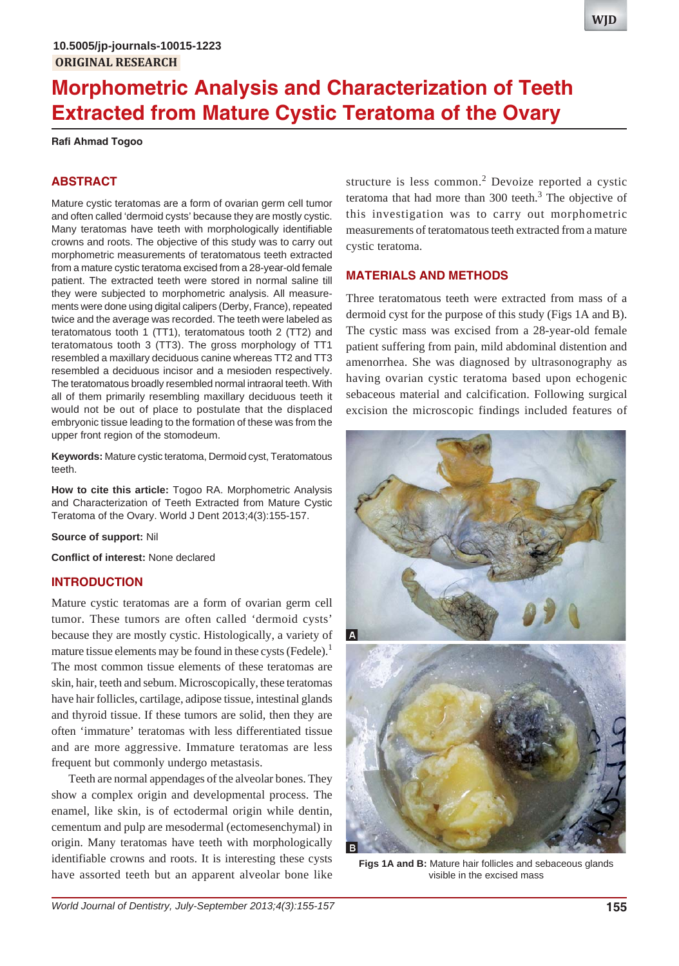# **Morphometric Analysis and Characterization of Teeth Extracted from Mature Cystic Teratoma of the Ovary**

**Rafi Ahmad Togoo**

## **ABSTRACT**

Mature cystic teratomas are a form of ovarian germ cell tumor and often called 'dermoid cysts' because they are mostly cystic. Many teratomas have teeth with morphologically identifiable crowns and roots. The objective of this study was to carry out morphometric measurements of teratomatous teeth extracted from a mature cystic teratoma excised from a 28-year-old female patient. The extracted teeth were stored in normal saline till they were subjected to morphometric analysis. All measurements were done using digital calipers (Derby, France), repeated twice and the average was recorded. The teeth were labeled as teratomatous tooth 1 (TT1), teratomatous tooth 2 (TT2) and teratomatous tooth 3 (TT3). The gross morphology of TT1 resembled a maxillary deciduous canine whereas TT2 and TT3 resembled a deciduous incisor and a mesioden respectively. The teratomatous broadly resembled normal intraoral teeth. With all of them primarily resembling maxillary deciduous teeth it would not be out of place to postulate that the displaced embryonic tissue leading to the formation of these was from the upper front region of the stomodeum.

**Keywords:** Mature cystic teratoma, Dermoid cyst, Teratomatous teeth.

**How to cite this article:** Togoo RA. Morphometric Analysis and Characterization of Teeth Extracted from Mature Cystic Teratoma of the Ovary. World J Dent 2013;4(3):155-157.

**Source of support:** Nil

**Conflict of interest:** None declared

#### **INTRODUCTION**

Mature cystic teratomas are a form of ovarian germ cell tumor. These tumors are often called 'dermoid cysts' because they are mostly cystic. Histologically, a variety of mature tissue elements may be found in these cysts (Fedele). $<sup>1</sup>$ </sup> The most common tissue elements of these teratomas are skin, hair, teeth and sebum. Microscopically, these teratomas have hair follicles, cartilage, adipose tissue, intestinal glands and thyroid tissue. If these tumors are solid, then they are often 'immature' teratomas with less differentiated tissue and are more aggressive. Immature teratomas are less frequent but commonly undergo metastasis.

Teeth are normal appendages of the alveolar bones. They show a complex origin and developmental process. The enamel, like skin, is of ectodermal origin while dentin, cementum and pulp are mesodermal (ectomesenchymal) in origin. Many teratomas have teeth with morphologically identifiable crowns and roots. It is interesting these cysts have assorted teeth but an apparent alveolar bone like

structure is less common.<sup>2</sup> Devoize reported a cystic teratoma that had more than  $300$  teeth.<sup>3</sup> The objective of this investigation was to carry out morphometric measurements of teratomatous teeth extracted from a mature cystic teratoma.

## **MATERIALS AND METHODS**

Three teratomatous teeth were extracted from mass of a dermoid cyst for the purpose of this study (Figs 1A and B). The cystic mass was excised from a 28-year-old female patient suffering from pain, mild abdominal distention and amenorrhea. She was diagnosed by ultrasonography as having ovarian cystic teratoma based upon echogenic sebaceous material and calcification. Following surgical excision the microscopic findings included features of



**Figs 1A and B:** Mature hair follicles and sebaceous glands visible in the excised mass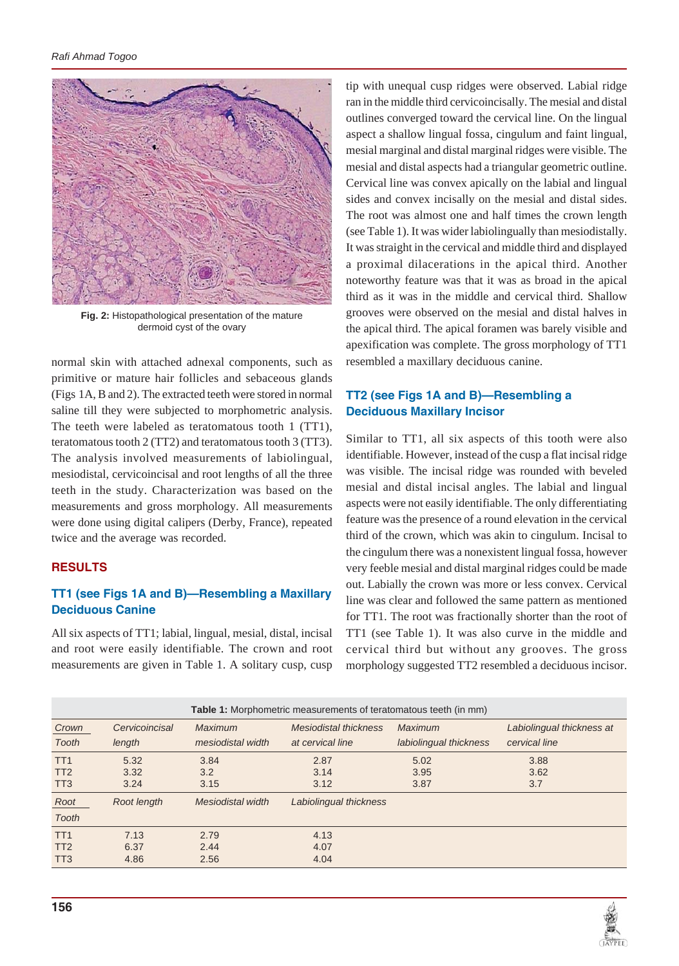

**Fig. 2:** Histopathological presentation of the mature dermoid cyst of the ovary

normal skin with attached adnexal components, such as primitive or mature hair follicles and sebaceous glands (Figs 1A, B and 2). The extracted teeth were stored in normal saline till they were subjected to morphometric analysis. The teeth were labeled as teratomatous tooth 1 (TT1), teratomatous tooth 2 (TT2) and teratomatous tooth 3 (TT3). The analysis involved measurements of labiolingual, mesiodistal, cervicoincisal and root lengths of all the three teeth in the study. Characterization was based on the measurements and gross morphology. All measurements were done using digital calipers (Derby, France), repeated twice and the average was recorded.

# **RESULTS**

# **TT1 (see Figs 1A and B)—Resembling a Maxillary Deciduous Canine**

All six aspects of TT1; labial, lingual, mesial, distal, incisal and root were easily identifiable. The crown and root measurements are given in Table 1. A solitary cusp, cusp

tip with unequal cusp ridges were observed. Labial ridge ran in the middle third cervicoincisally. The mesial and distal outlines converged toward the cervical line. On the lingual aspect a shallow lingual fossa, cingulum and faint lingual, mesial marginal and distal marginal ridges were visible. The mesial and distal aspects had a triangular geometric outline. Cervical line was convex apically on the labial and lingual sides and convex incisally on the mesial and distal sides. The root was almost one and half times the crown length (see Table 1). It was wider labiolingually than mesiodistally. It was straight in the cervical and middle third and displayed a proximal dilacerations in the apical third. Another noteworthy feature was that it was as broad in the apical third as it was in the middle and cervical third. Shallow grooves were observed on the mesial and distal halves in the apical third. The apical foramen was barely visible and apexification was complete. The gross morphology of TT1 resembled a maxillary deciduous canine.

# **TT2 (see Figs 1A and B)—Resembling a Deciduous Maxillary Incisor**

Similar to TT1, all six aspects of this tooth were also identifiable. However, instead of the cusp a flat incisal ridge was visible. The incisal ridge was rounded with beveled mesial and distal incisal angles. The labial and lingual aspects were not easily identifiable. The only differentiating feature was the presence of a round elevation in the cervical third of the crown, which was akin to cingulum. Incisal to the cingulum there was a nonexistent lingual fossa, however very feeble mesial and distal marginal ridges could be made out. Labially the crown was more or less convex. Cervical line was clear and followed the same pattern as mentioned for TT1. The root was fractionally shorter than the root of TT1 (see Table 1). It was also curve in the middle and cervical third but without any grooves. The gross morphology suggested TT2 resembled a deciduous incisor.

| <b>Table 1:</b> Morphometric measurements of teratomatous teeth (in mm) |                |                   |                              |                        |                           |
|-------------------------------------------------------------------------|----------------|-------------------|------------------------------|------------------------|---------------------------|
| Crown                                                                   | Cervicoincisal | Maximum           | <b>Mesiodistal thickness</b> | <b>Maximum</b>         | Labiolingual thickness at |
| Tooth                                                                   | length         | mesiodistal width | at cervical line             | labiolingual thickness | cervical line             |
| TT <sub>1</sub>                                                         | 5.32           | 3.84              | 2.87                         | 5.02                   | 3.88                      |
| TT <sub>2</sub>                                                         | 3.32           | 3.2               | 3.14                         | 3.95                   | 3.62                      |
| TT <sub>3</sub>                                                         | 3.24           | 3.15              | 3.12                         | 3.87                   | 3.7                       |
| Root                                                                    | Root length    | Mesiodistal width | Labiolingual thickness       |                        |                           |
| Tooth                                                                   |                |                   |                              |                        |                           |
| TT <sub>1</sub>                                                         | 7.13           | 2.79              | 4.13                         |                        |                           |
| TT <sub>2</sub>                                                         | 6.37           | 2.44              | 4.07                         |                        |                           |
| TT <sub>3</sub>                                                         | 4.86           | 2.56              | 4.04                         |                        |                           |